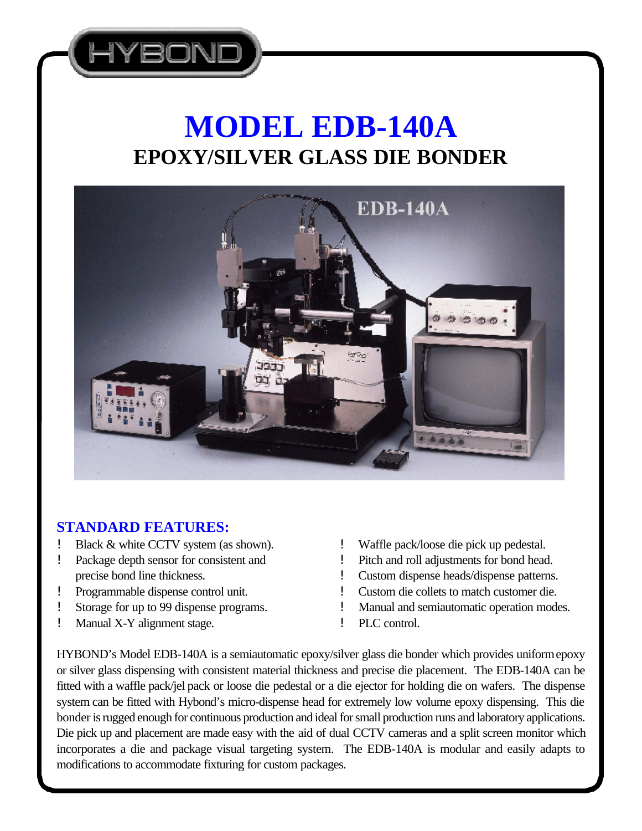

# **MODEL EDB-140A EPOXY/SILVER GLASS DIE BONDER**



## **STANDARD FEATURES:**

- Black & white CCTV system (as shown).
- Package depth sensor for consistent and precise bond line thickness.
- ! Programmable dispense control unit.
- Storage for up to 99 dispense programs.
- ! Manual X-Y alignment stage.
- ! Waffle pack/loose die pick up pedestal.
- ! Pitch and roll adjustments for bond head.
- ! Custom dispense heads/dispense patterns.
- ! Custom die collets to match customer die.
- ! Manual and semiautomatic operation modes.
- ! PLC control.

HYBOND's Model EDB-140A is a semiautomatic epoxy/silver glass die bonder which provides uniform epoxy or silver glass dispensing with consistent material thickness and precise die placement. The EDB-140A can be fitted with a waffle pack/jel pack or loose die pedestal or a die ejector for holding die on wafers. The dispense system can be fitted with Hybond's micro-dispense head for extremely low volume epoxy dispensing. This die bonder is rugged enough for continuous production and ideal for small production runs and laboratory applications. Die pick up and placement are made easy with the aid of dual CCTV cameras and a split screen monitor which incorporates a die and package visual targeting system. The EDB-140A is modular and easily adapts to modifications to accommodate fixturing for custom packages.